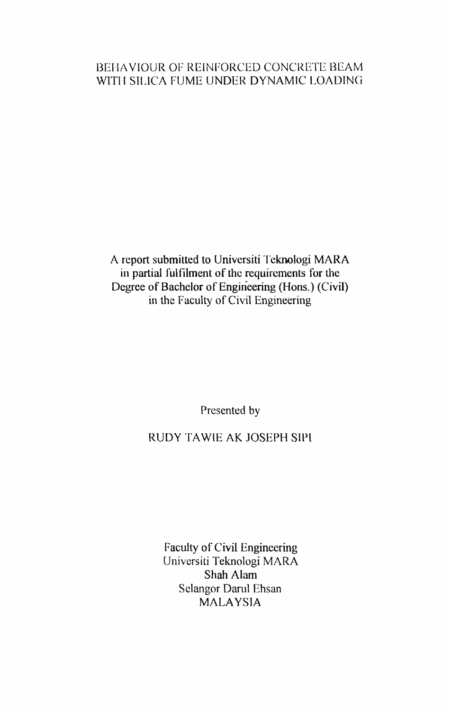### BEHAVIOUR OF REINFORCED CONCRETE BEAM WITH SILICA FUME UNDER DYNAMIC LOADING

A report submitted to Universiti Teknologi MARA in partial fulfilment of the requirements for the Degree of Bachelor of Engineering (Hons.) (Civil) in the Faculty of Civil Engineering

Presented by

## RUDY TAWIE AK JOSEPH SIPI

Faculty of Civil Engineering Universiti Teknologi MARA Shah Alam Selangor Darul Ehsan MALAYSIA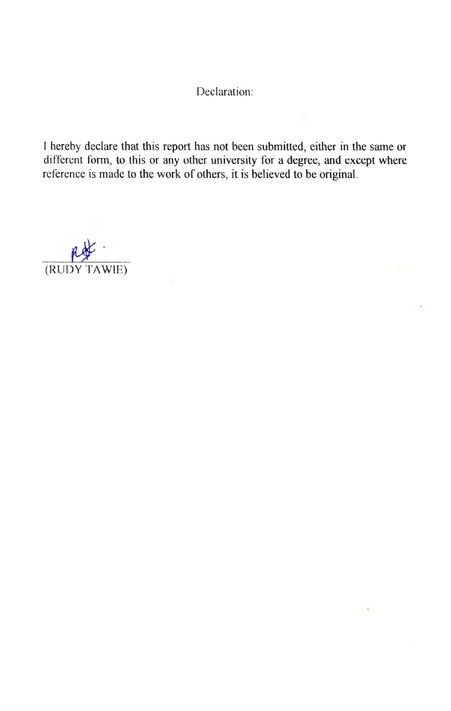Declaration:

I hereby declare that this report has not been submitted, either in the same or different form, to this or any other university for a degree, and except where reference is made to the work of others, it is believed to be original.

 $\frac{1}{2}$ (RUDY TAW1E)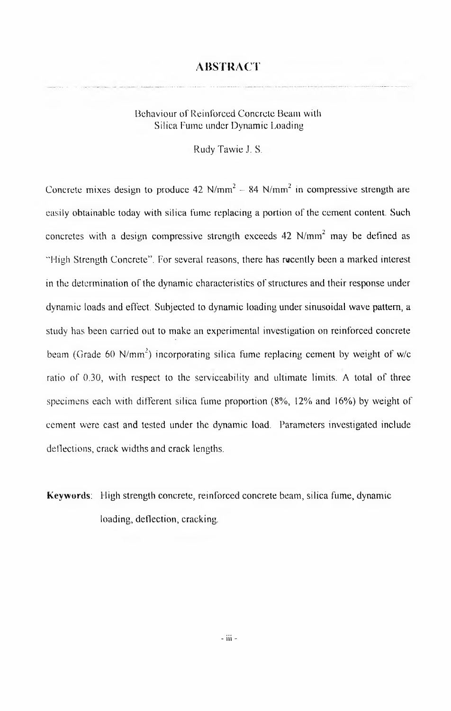#### **A B S T R A C T**

#### Behaviour of Reinforced Concrete Beam with Silica Fume under Dynamic Loading

Rudy Tawie J. S.

Concrete mixes design to produce 42 N/mm<sup>2</sup> - 84 N/mm<sup>2</sup> in compressive strength are easily obtainable today with silica fume replacing a portion of the cement content. Such concretes with a design compressive strength exceeds  $42$  N/mm<sup>2</sup> may be defined as "High Strength Concrete". For several reasons, there has recently been a marked interest in the determination of the dynamic characteristics of structures and their response under dynamic loads and effect. Subjected to dynamic loading under sinusoidal wave pattern, a study has been carried out to make an experimental investigation on reinforced concrete beam (Grade 60 N/mm<sup>2</sup>) incorporating silica fume replacing cement by weight of w/c ratio of 0.30, with respect to the serviceability and ultimate limits. A total of three specimens each with different silica fume proportion  $(8\%, 12\%)$  and  $16\%)$  by weight of cement were cast and tested under the dynamic load. Parameters investigated include deflections, crack widths and crack lengths.

# **Keywords:** High strength concrete, reinforced concrete beam, silica fume, dynamic loading, deflection, cracking.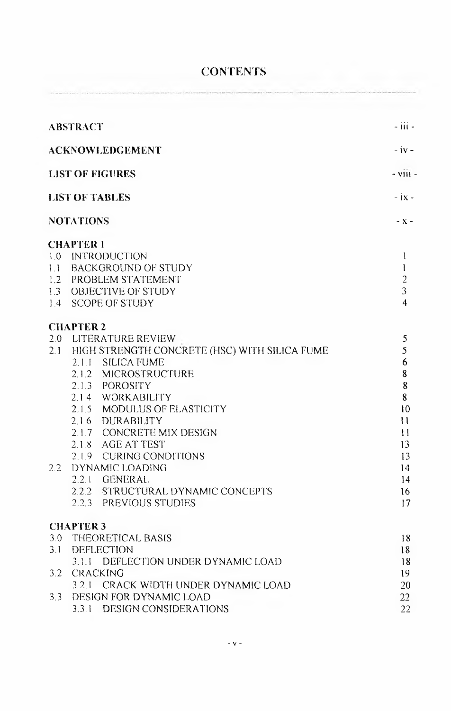# **CONTENTS**

 $\frac{1}{2}$ 

 $\label{eq:1} \begin{split} \mathcal{L}^{(1)}(x) &= \mathcal{L}^{(1)}(x) + \mathcal{L}^{(2)}(x) + \mathcal{L}^{(3)}(x) + \mathcal{L}^{(4)}(x) + \mathcal{L}^{(5)}(x) \end{split}$ 

|     | <b>ABSTRACT</b>                                   | $-iii -$         |
|-----|---------------------------------------------------|------------------|
|     | <b>ACKNOWLEDGEMENT</b>                            | $-1V -$          |
|     | <b>LIST OF FIGURES</b>                            | $-$ viii $-$     |
|     | <b>LIST OF TABLES</b>                             | $-ix -$          |
|     | <b>NOTATIONS</b>                                  | $- X -$          |
|     | <b>CHAPTER 1</b>                                  |                  |
|     | 1.0 INTRODUCTION                                  | $\mathbf{1}$     |
|     | 1.1 BACKGROUND OF STUDY                           | $\mathbf{I}$     |
|     | 1.2 PROBLEM STATEMENT                             | $\frac{2}{3}$    |
|     | 1.3 OBJECTIVE OF STUDY<br>1.4 SCOPE OF STUDY      | $\overline{4}$   |
|     |                                                   |                  |
|     | <b>CHAPTER 2</b>                                  |                  |
|     | 2.0 LITERATURE REVIEW                             | 5                |
|     | 2.1 HIGH STRENGTH CONCRETE (HSC) WITH SILICA FUME | 5                |
|     | 2.1.1 SILICA FUME                                 | 6                |
|     | 2.1.2 MICROSTRUCTURE                              | $\bf 8$          |
|     | 2.1.3 POROSITY                                    | 8                |
|     | 2.1.4 WORKABILITY                                 | 8                |
|     | 2.1.5 MODULUS OF ELASTICITY                       | 10               |
|     | 2.1.6 DURABILITY                                  | 11               |
|     | 2.1.7 CONCRETE MIX DESIGN                         | 11               |
|     | 2.1.8 AGE AT TEST<br>2.1.9 CURING CONDITIONS      | 13               |
|     | 2.2 DYNAMIC LOADING                               | 13<br>14         |
|     | 2.2.1 GENERAL                                     | 14               |
|     | 2.2.2 STRUCTURAL DYNAMIC CONCEPTS                 | 16 <sup>16</sup> |
|     | 2.2.3 PREVIOUS STUDIES                            | 17               |
|     | <b>CHAPTER 3</b>                                  |                  |
| 3.0 | THEORETICAL BASIS                                 | 18               |
| 3.1 | <b>DEFLECTION</b>                                 | 18               |
|     | 3.1.1 DEFLECTION UNDER DYNAMIC LOAD               | 18               |
|     | 3.2 CRACKING                                      | 19               |
|     | 3.2.1<br>CRACK WIDTH UNDER DYNAMIC LOAD           | 20               |
| 3.3 | DESIGN FOR DYNAMIC LOAD                           | 22               |
|     | 3.3.1 DESIGN CONSIDERATIONS                       | 22               |